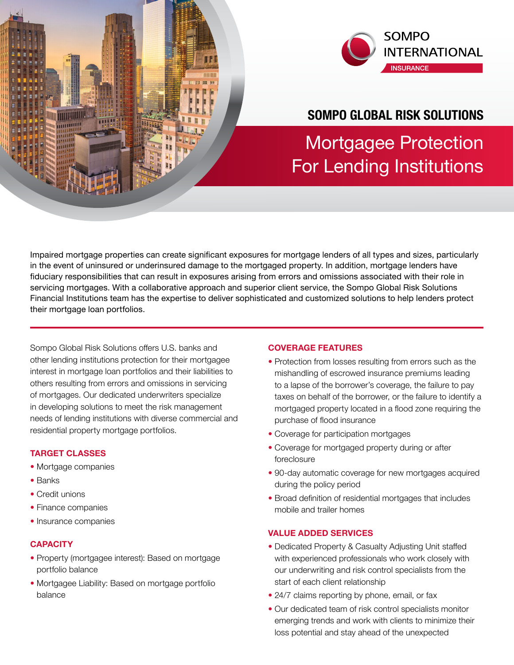

# **SOMPO GLOBAL RISK SOLUTIONS**

Mortgagee Protection For Lending Institutions

Impaired mortgage properties can create significant exposures for mortgage lenders of all types and sizes, particularly in the event of uninsured or underinsured damage to the mortgaged property. In addition, mortgage lenders have fiduciary responsibilities that can result in exposures arising from errors and omissions associated with their role in servicing mortgages. With a collaborative approach and superior client service, the Sompo Global Risk Solutions Financial Institutions team has the expertise to deliver sophisticated and customized solutions to help lenders protect their mortgage loan portfolios.

Sompo Global Risk Solutions offers U.S. banks and other lending institutions protection for their mortgagee interest in mortgage loan portfolios and their liabilities to others resulting from errors and omissions in servicing of mortgages. Our dedicated underwriters specialize in developing solutions to meet the risk management needs of lending institutions with diverse commercial and residential property mortgage portfolios.

# **TARGET CLASSES**

**WINNER TO THE TELEVISION** 

- Mortgage companies
- Banks
- Credit unions
- Finance companies
- Insurance companies

### **CAPACITY**

- Property (mortgagee interest): Based on mortgage portfolio balance
- Mortgagee Liability: Based on mortgage portfolio balance

#### **COVERAGE FEATURES**

- Protection from losses resulting from errors such as the mishandling of escrowed insurance premiums leading to a lapse of the borrower's coverage, the failure to pay taxes on behalf of the borrower, or the failure to identify a mortgaged property located in a flood zone requiring the purchase of flood insurance
- Coverage for participation mortgages
- Coverage for mortgaged property during or after foreclosure
- 90-day automatic coverage for new mortgages acquired during the policy period
- Broad definition of residential mortgages that includes mobile and trailer homes

## **VALUE ADDED SERVICES**

- Dedicated Property & Casualty Adjusting Unit staffed with experienced professionals who work closely with our underwriting and risk control specialists from the start of each client relationship
- 24/7 claims reporting by phone, email, or fax
- Our dedicated team of risk control specialists monitor emerging trends and work with clients to minimize their loss potential and stay ahead of the unexpected